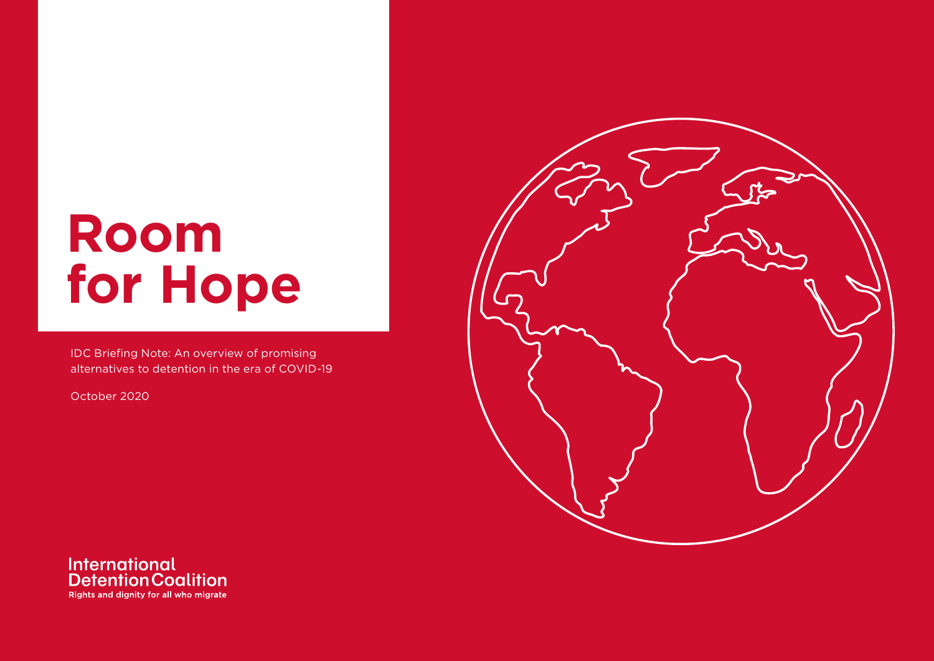# **Room for Hope**

IDC Briefing Note: An overview of promising alternatives to detention in the era of COVID-19

October 2020



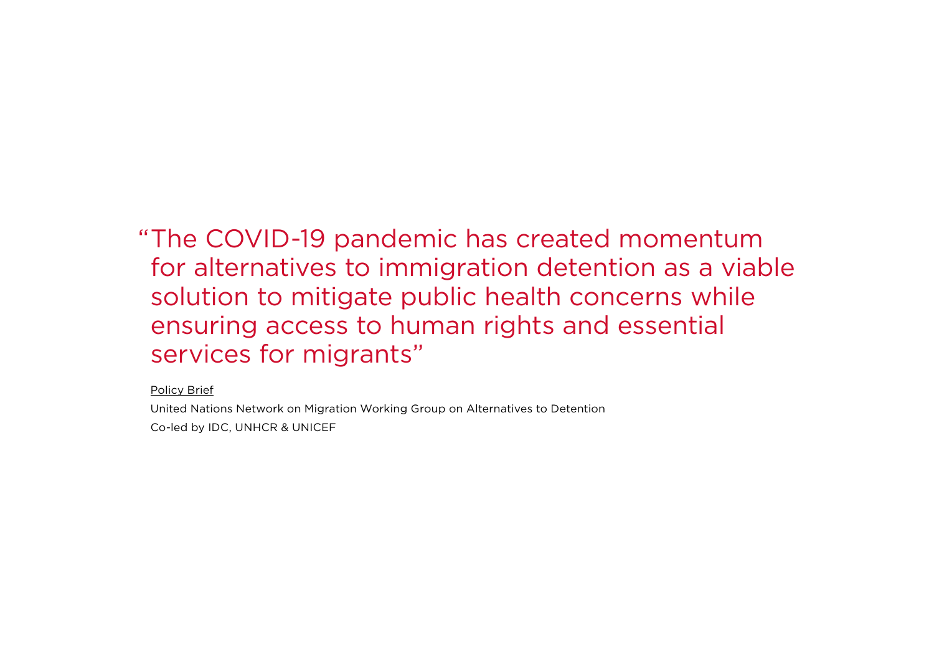"The COVID-19 pandemic has created momentum for alternatives to immigration detention as a viable solution to mitigate public health concerns while ensuring access to human rights and essential services for migrants"

[Policy Brief](https://migrationnetwork.un.org/sites/default/files/docs/un_network_on_migration_wg_atd_policy_brief_covid-19_and_immigration_detention.pdf)

United Nations Network on Migration Working Group on Alternatives to Detention Co-led by IDC, UNHCR & UNICEF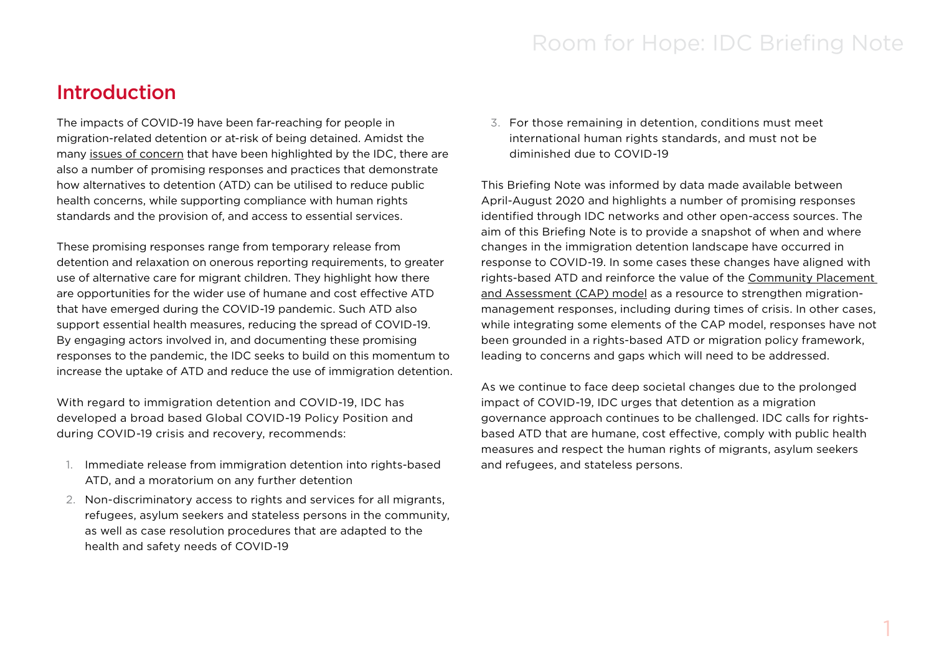### Introduction

The impacts of COVID-19 have been far-reaching for people in migration-related detention or at-risk of being detained. Amidst the many [issues of concern](https://idcoalition.org/covid-19/) that have been highlighted by the IDC, there are also a number of promising responses and practices that demonstrate how alternatives to detention (ATD) can be utilised to reduce public health concerns, while supporting compliance with human rights standards and the provision of, and access to essential services.

These promising responses range from temporary release from detention and relaxation on onerous reporting requirements, to greater use of alternative care for migrant children. They highlight how there are opportunities for the wider use of humane and cost effective ATD that have emerged during the COVID-19 pandemic. Such ATD also support essential health measures, reducing the spread of COVID-19. By engaging actors involved in, and documenting these promising responses to the pandemic, the IDC seeks to build on this momentum to increase the uptake of ATD and reduce the use of immigration detention.

With regard to immigration detention and COVID-19, IDC has developed a broad based Global COVID-19 Policy Position and during COVID-19 crisis and recovery, recommends:

- 1. Immediate release from immigration detention into rights-based ATD, and a moratorium on any further detention
- 2. Non-discriminatory access to rights and services for all migrants, refugees, asylum seekers and stateless persons in the community, as well as case resolution procedures that are adapted to the health and safety needs of COVID-19

3. For those remaining in detention, conditions must meet international human rights standards, and must not be diminished due to COVID-19

This Briefing Note was informed by data made available between April-August 2020 and highlights a number of promising responses identified through IDC networks and other open-access sources. The aim of this Briefing Note is to provide a snapshot of when and where changes in the immigration detention landscape have occurred in response to COVID-19. In some cases these changes have aligned with rights-based ATD and reinforce the value of the [Community Placement](https://idcoalition.org/cap/)  [and Assessment \(CAP\) model](https://idcoalition.org/cap/) as a resource to strengthen migrationmanagement responses, including during times of crisis. In other cases, while integrating some elements of the CAP model, responses have not been grounded in a rights-based ATD or migration policy framework, leading to concerns and gaps which will need to be addressed.

As we continue to face deep societal changes due to the prolonged impact of COVID-19, IDC urges that detention as a migration governance approach continues to be challenged. IDC calls for rightsbased ATD that are humane, cost effective, comply with public health measures and respect the human rights of migrants, asylum seekers and refugees, and stateless persons.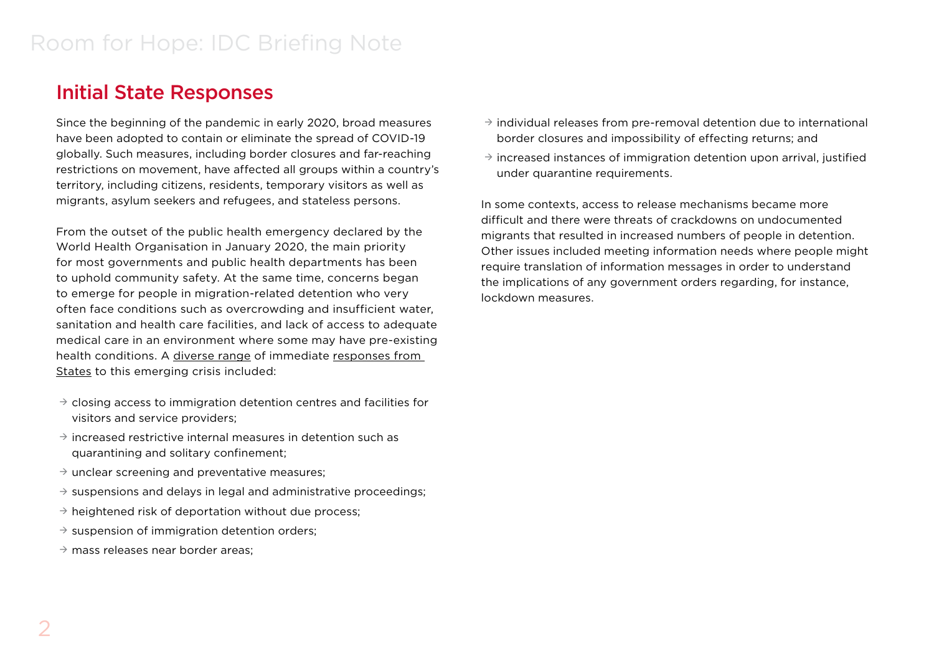## Initial State Responses

Since the beginning of the pandemic in early 2020, broad measures have been adopted to contain or eliminate the spread of COVID-19 globally. Such measures, including border closures and far-reaching restrictions on movement, have affected all groups within a country's territory, including citizens, residents, temporary visitors as well as migrants, asylum seekers and refugees, and stateless persons.

From the outset of the public health emergency declared by the World Health Organisation in January 2020, the main priority for most governments and public health departments has been to uphold community safety. At the same time, concerns began to emerge for people in migration-related detention who very often face conditions such as overcrowding and insufficient water, sanitation and health care facilities, and lack of access to adequate medical care in an environment where some may have pre-existing health conditions. A [diverse range](https://idcoalition.org/covid-19/key-developments/) of immediate [responses from](https://idcoalition.org/wp-content/uploads/2020/05/IDM_Apr-2020_Summary-of-APRRN-IDC-Asia-Pacific-COVID-19-webinar_FINAL.pdf)  [States](https://idcoalition.org/wp-content/uploads/2020/05/IDM_Apr-2020_Summary-of-APRRN-IDC-Asia-Pacific-COVID-19-webinar_FINAL.pdf) to this emerging crisis included:

- $\rightarrow$  closing access to immigration detention centres and facilities for visitors and service providers;
- $\rightarrow$  increased restrictive internal measures in detention such as quarantining and solitary confinement;
- $\rightarrow$  unclear screening and preventative measures;
- $\rightarrow$  suspensions and delays in legal and administrative proceedings;
- $\rightarrow$  heightened risk of deportation without due process;
- $\rightarrow$  suspension of immigration detention orders;
- $\rightarrow$  mass releases near border areas:
- $\rightarrow$  individual releases from pre-removal detention due to international border closures and impossibility of effecting returns; and
- $\rightarrow$  increased instances of immigration detention upon arrival, justified under quarantine requirements.

In some contexts, access to release mechanisms became more difficult and there were threats of crackdowns on undocumented migrants that resulted in increased numbers of people in detention. Other issues included meeting information needs where people might require translation of information messages in order to understand the implications of any government orders regarding, for instance, lockdown measures.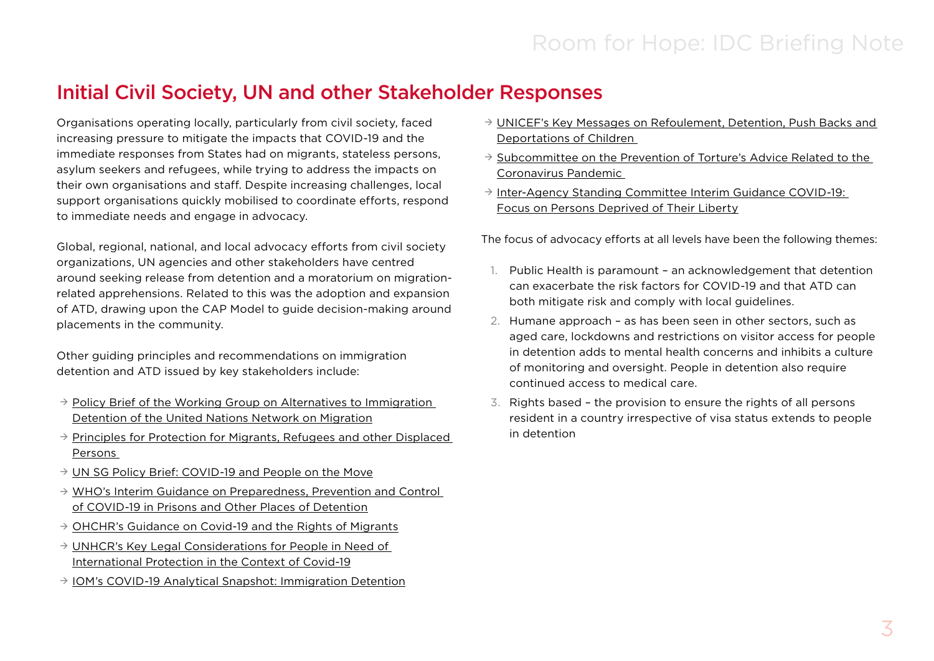# Initial Civil Society, UN and other Stakeholder Responses

Organisations operating locally, particularly from civil society, faced increasing pressure to mitigate the impacts that COVID-19 and the immediate responses from States had on migrants, stateless persons, asylum seekers and refugees, while trying to address the impacts on their own organisations and staff. Despite increasing challenges, local support organisations quickly mobilised to coordinate efforts, respond to immediate needs and engage in advocacy.

Global, regional, national, and local advocacy efforts from civil society organizations, UN agencies and other stakeholders have centred around seeking release from detention and a moratorium on migrationrelated apprehensions. Related to this was the adoption and expansion of ATD, drawing upon the CAP Model to guide decision-making around placements in the community.

Other guiding principles and recommendations on immigration detention and ATD issued by key stakeholders include:

- $\rightarrow$  Policy Brief of the Working Group on Alternatives to Immigration [Detention of the United Nations Network on Migration](https://migrationnetwork.un.org/sites/default/files/docs/un_network_on_migration_wg_atd_policy_brief_covid-19_and_immigration_detention.pdf)
- $\rightarrow$  Principles for Protection for Migrants, Refugees and other Displaced [Persons](https://zolberginstitute.org/covid-19/?mc_cid=5249f6ac72&mc_eid=42a27631c1)
- $\rightarrow$  [UN SG Policy Brief: COVID-19 and People on the Move](https://www.un.org/sites/un2.un.org/files/sg_policy_brief_on_people_on_the_move.pdf)
- $\rightarrow$  WHO's Interim Guidance on Preparedness, Prevention and Control [of COVID-19 in Prisons and Other Places of Detention](https://www.euro.who.int/__data/assets/pdf_file/0019/434026/Preparedness-prevention-and-control-of-COVID-19-in-prisons.pdf)
- $\rightarrow$  [OHCHR's Guidance on Covid-19 and the Rights of Migrants](https://www.ohchr.org/Documents/Issues/Migration/OHCHRGuidance_COVID19_Migrants.pdf?fbclid=IwAR2aa029YDZsFDOTpcDqU8cymQCT813T9lCvja4SKV6mhML_4lOU68ZTN-o)
- $\rightarrow$  UNHCR's Key Legal Considerations for People in Need of [International Protection in the Context of Covid-19](https://www.refworld.org/docid/5e7132834.html)
- $\rightarrow$  [IOM's COVID-19 Analytical Snapshot: Immigration Detention](https://www.iom.int/sites/default/files/our_work/ICP/MPR/covid-19_analytical_snapshot_9_-_immigration_detention.pdf)
- $\rightarrow$  UNICEF's Key Messages on Refoulement, Detention, Push Backs and [Deportations of Children](https://unicef-my.sharepoint.com/:w:/g/personal/idelorenzocaceres_unicef_org/EdeI3EGiU-hAm6cHLKQTrdoByDl8m3q9YAEsaU1i2guZ3Q?rtime=oCV7wWVq2Eg)
- $\rightarrow$  Subcommittee on the Prevention of Torture's Advice Related to the [Coronavirus Pandemic](https://www.ohchr.org/Documents/HRBodies/OPCAT/AdviceStatePartiesCoronavirusPandemic2020.pdf)
- $\rightarrow$  Inter-Agency Standing Committee Interim Guidance COVID-19: [Focus on Persons Deprived of Their Liberty](https://interagencystandingcommittee.org/system/files/2020-03/IASC%20Interim%20Guidance%20on%20COVID-19%20-%20Focus%20on%20Persons%20Deprived%20of%20Their%20Liberty.pdf)

The focus of advocacy efforts at all levels have been the following themes:

- 1. Public Health is paramount an acknowledgement that detention can exacerbate the risk factors for COVID-19 and that ATD can both mitigate risk and comply with local guidelines.
- 2. Humane approach as has been seen in other sectors, such as aged care, lockdowns and restrictions on visitor access for people in detention adds to mental health concerns and inhibits a culture of monitoring and oversight. People in detention also require continued access to medical care.
- 3. Rights based the provision to ensure the rights of all persons resident in a country irrespective of visa status extends to people in detention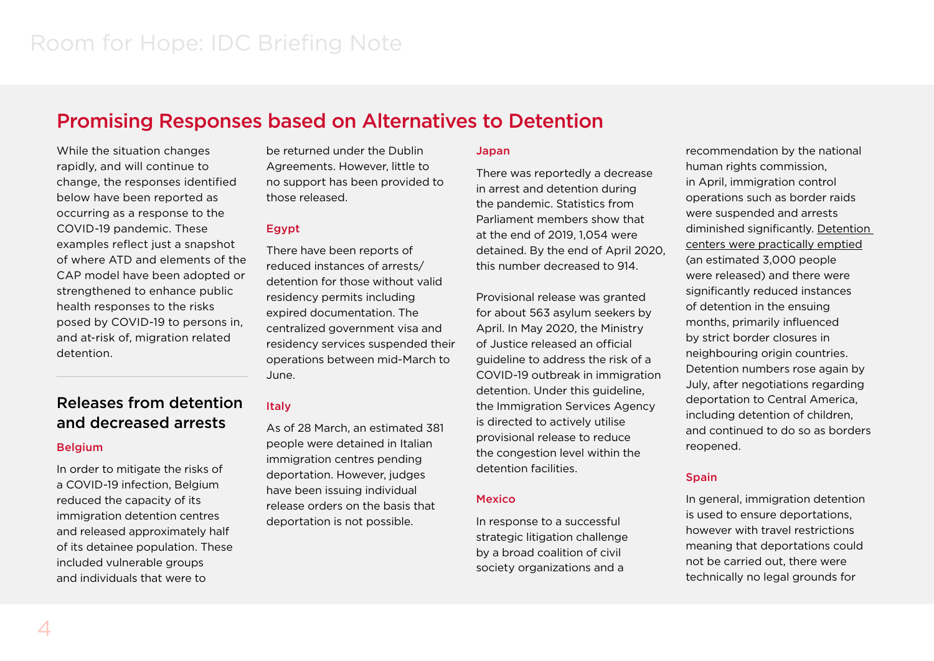### Promising Responses based on Alternatives to Detention

While the situation changes rapidly, and will continue to change, the responses identified below have been reported as occurring as a response to the COVID-19 pandemic. These examples reflect just a snapshot of where ATD and elements of the CAP model have been adopted or strengthened to enhance public health responses to the risks posed by COVID-19 to persons in, and at-risk of, migration related detention.

### Releases from detention and decreased arrests

#### **Belgium**

In order to mitigate the risks of a COVID-19 infection, Belgium reduced the capacity of its immigration detention centres and released approximately half of its detainee population. These included vulnerable groups and individuals that were to

be returned under the Dublin Agreements. However, little to no support has been provided to those released.

### Egypt

There have been reports of reduced instances of arrests/ detention for those without valid residency permits including expired documentation. The centralized government visa and residency services suspended their operations between mid-March to June.

### **Italy**

As of 28 March, an estimated 381 people were detained in Italian immigration centres pending deportation. However, judges have been issuing individual release orders on the basis that deportation is not possible.

#### Japan

There was reportedly a decrease in arrest and detention during the pandemic. Statistics from Parliament members show that at the end of 2019, 1,054 were detained. By the end of April 2020, this number decreased to 914.

Provisional release was granted for about 563 asylum seekers by April. In May 2020, the Ministry of Justice released an official guideline to address the risk of a COVID-19 outbreak in immigration detention. Under this guideline, the Immigration Services Agency is directed to actively utilise provisional release to reduce the congestion level within the detention facilities.

### **Mexico**

In response to a successful strategic litigation challenge by a broad coalition of civil society organizations and a

recommendation by the national human rights commission, in April, immigration control operations such as border raids were suspended and arrests diminished significantly. [Detention](https://www.gob.mx/inm/prensa/actua-inm-con-responsabilidad-ante-la-contingencia-por-covid-19-241034?idiom=es)  [centers were practically emptied](https://www.gob.mx/inm/prensa/actua-inm-con-responsabilidad-ante-la-contingencia-por-covid-19-241034?idiom=es) (an estimated 3,000 people were released) and there were significantly reduced instances of detention in the ensuing months, primarily influenced by strict border closures in neighbouring origin countries. Detention numbers rose again by July, after negotiations regarding deportation to Central America, including detention of children, and continued to do so as borders reopened.

### **Spain**

In general, immigration detention is used to ensure deportations, however with travel restrictions meaning that deportations could not be carried out, there were technically no legal grounds for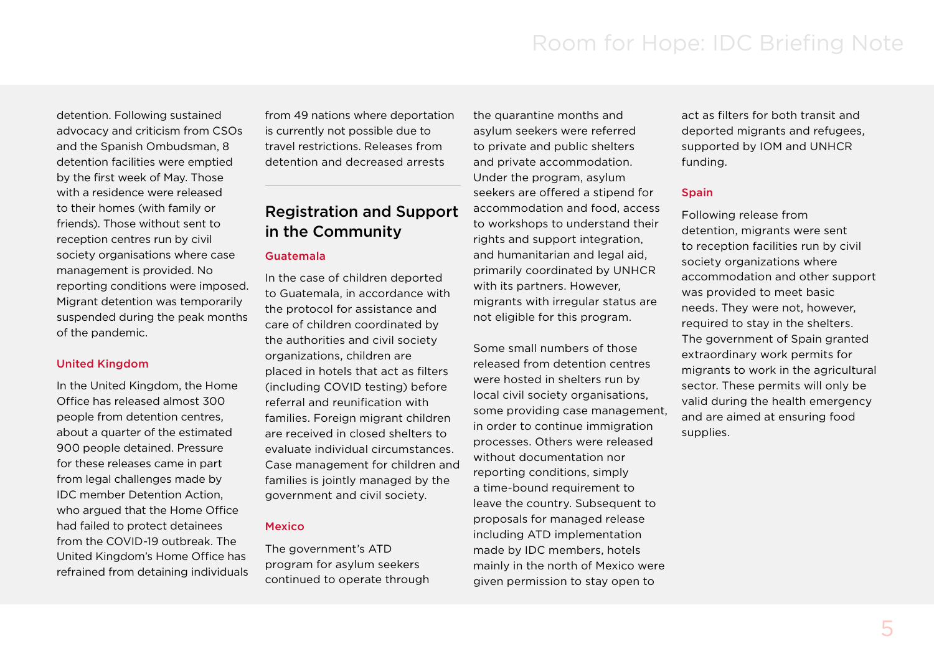detention. Following sustained advocacy and criticism from CSOs and the Spanish Ombudsman, 8 detention facilities were emptied by the first week of May. Those with a residence were released to their homes (with family or friends). Those without sent to reception centres run by civil society organisations where case management is provided. No reporting conditions were imposed. Migrant detention was temporarily suspended during the peak months of the pandemic.

#### United Kingdom

In the United Kingdom, the Home Office has released almost 300 people from detention centres, about a quarter of the estimated 900 people detained. Pressure for these releases came in part from legal challenges made by IDC member Detention Action, who argued that the Home Office had failed to protect detainees from the COVID-19 outbreak. The United Kingdom's Home Office has refrained from detaining individuals from 49 nations where deportation is currently not possible due to travel restrictions. Releases from detention and decreased arrests

### Registration and Support in the Community

#### Guatemala

In the case of children deported to Guatemala, in accordance with the protocol for assistance and care of children coordinated by the authorities and civil society organizations, children are placed in hotels that act as filters (including COVID testing) before referral and reunification with families. Foreign migrant children are received in closed shelters to evaluate individual circumstances. Case management for children and families is jointly managed by the government and civil society.

#### Mexico

The government's ATD program for asylum seekers continued to operate through

the quarantine months and asylum seekers were referred to private and public shelters and private accommodation. Under the program, asylum seekers are offered a stipend for accommodation and food, access to workshops to understand their rights and support integration, and humanitarian and legal aid, primarily coordinated by UNHCR with its partners. However, migrants with irregular status are not eligible for this program.

Some small numbers of those released from detention centres were hosted in shelters run by local civil society organisations, some providing case management, in order to continue immigration processes. Others were released without documentation nor reporting conditions, simply a time-bound requirement to leave the country. Subsequent to proposals for managed release including ATD implementation made by IDC members, hotels mainly in the north of Mexico were given permission to stay open to

act as filters for both transit and deported migrants and refugees, supported by IOM and UNHCR funding.

#### Spain

Following release from detention, migrants were sent to reception facilities run by civil society organizations where accommodation and other support was provided to meet basic needs. They were not, however, required to stay in the shelters. The government of Spain granted extraordinary work permits for migrants to work in the agricultural sector. These permits will only be valid during the health emergency and are aimed at ensuring food supplies.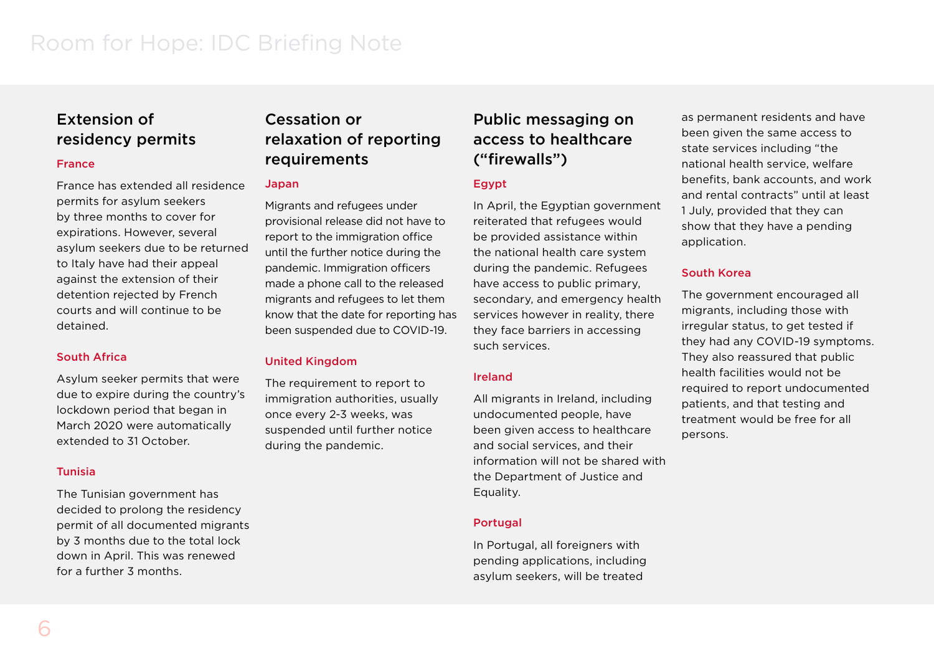### Extension of residency permits

### France

France has extended all residence permits for asylum seekers by three months to cover for expirations. However, several asylum seekers due to be returned to Italy have had their appeal against the extension of their detention rejected by French courts and will continue to be detained.

### South Africa

Asylum seeker permits that were due to expire during the country's lockdown period that began in March 2020 were automatically extended to 31 October.

#### Tunisia

The Tunisian government has decided to prolong the residency permit of all documented migrants by 3 months due to the total lock down in April. This was renewed for a further 3 months.

### Cessation or relaxation of reporting requirements

#### Japan

Migrants and refugees under provisional release did not have to report to the immigration office until the further notice during the pandemic. Immigration officers made a phone call to the released migrants and refugees to let them know that the date for reporting has been suspended due to COVID-19.

### United Kingdom

The requirement to report to immigration authorities, usually once every 2-3 weeks, was suspended until further notice during the pandemic.

### Public messaging on access to healthcare ("firewalls")

### **Egypt**

In April, the Egyptian government reiterated that refugees would be provided assistance within the national health care system during the pandemic. Refugees have access to public primary, secondary, and emergency health services however in reality, there they face barriers in accessing such services.

### Ireland

All migrants in Ireland, including undocumented people, have been given access to healthcare and social services, and their information will not be shared with the Department of Justice and Equality.

### **Portugal**

In Portugal, all foreigners with pending applications, including asylum seekers, will be treated

as permanent residents and have been given the same access to state services including "the national health service, welfare benefits, bank accounts, and work and rental contracts" until at least 1 July, provided that they can show that they have a pending application.

### South Korea

The government encouraged all migrants, including those with irregular status, to get tested if they had any COVID-19 symptoms. They also reassured that public health facilities would not be required to report undocumented patients, and that testing and treatment would be free for all persons.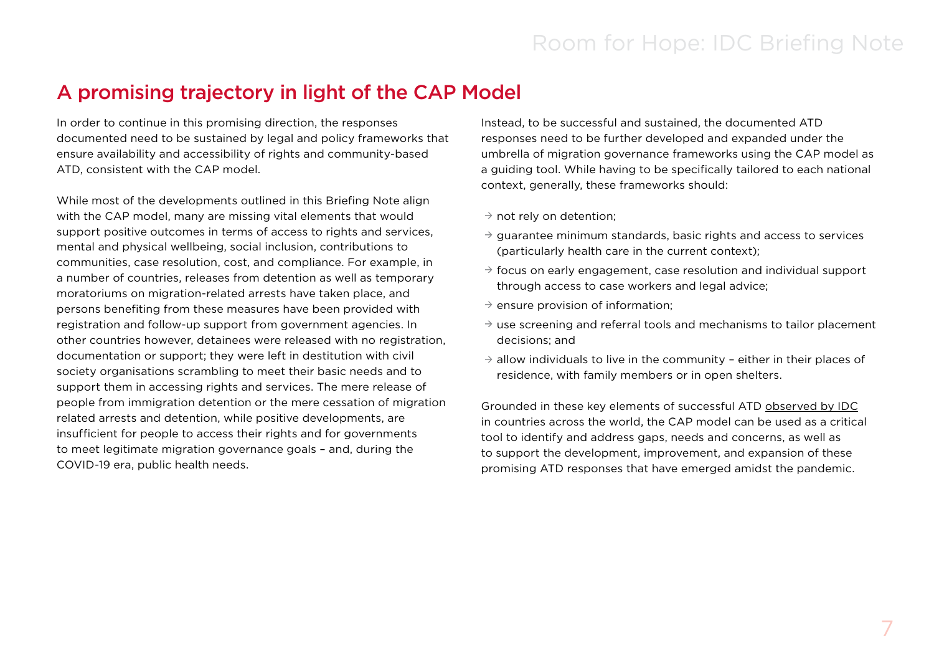# A promising trajectory in light of the CAP Model

In order to continue in this promising direction, the responses documented need to be sustained by legal and policy frameworks that ensure availability and accessibility of rights and community-based ATD, consistent with the CAP model.

While most of the developments outlined in this Briefing Note align with the CAP model, many are missing vital elements that would support positive outcomes in terms of access to rights and services, mental and physical wellbeing, social inclusion, contributions to communities, case resolution, cost, and compliance. For example, in a number of countries, releases from detention as well as temporary moratoriums on migration-related arrests have taken place, and persons benefiting from these measures have been provided with registration and follow-up support from government agencies. In other countries however, detainees were released with no registration, documentation or support; they were left in destitution with civil society organisations scrambling to meet their basic needs and to support them in accessing rights and services. The mere release of people from immigration detention or the mere cessation of migration related arrests and detention, while positive developments, are insufficient for people to access their rights and for governments to meet legitimate migration governance goals – and, during the COVID-19 era, public health needs.

Instead, to be successful and sustained, the documented ATD responses need to be further developed and expanded under the umbrella of migration governance frameworks using the CAP model as a guiding tool. While having to be specifically tailored to each national context, generally, these frameworks should:

 $\rightarrow$  not rely on detention;

- $\rightarrow$  guarantee minimum standards, basic rights and access to services (particularly health care in the current context);
- $\rightarrow$  focus on early engagement, case resolution and individual support through access to case workers and legal advice;
- $\rightarrow$  ensure provision of information;
- $\rightarrow$  use screening and referral tools and mechanisms to tailor placement decisions; and
- $\rightarrow$  allow individuals to live in the community either in their places of residence, with family members or in open shelters.

Grounded in these key elements of successful ATD [observed by IDC](https://idcoalition.org/wp-content/uploads/2016/01/There-Are-Alternatives-2015.pdf) in countries across the world, the CAP model can be used as a critical tool to identify and address gaps, needs and concerns, as well as to support the development, improvement, and expansion of these promising ATD responses that have emerged amidst the pandemic.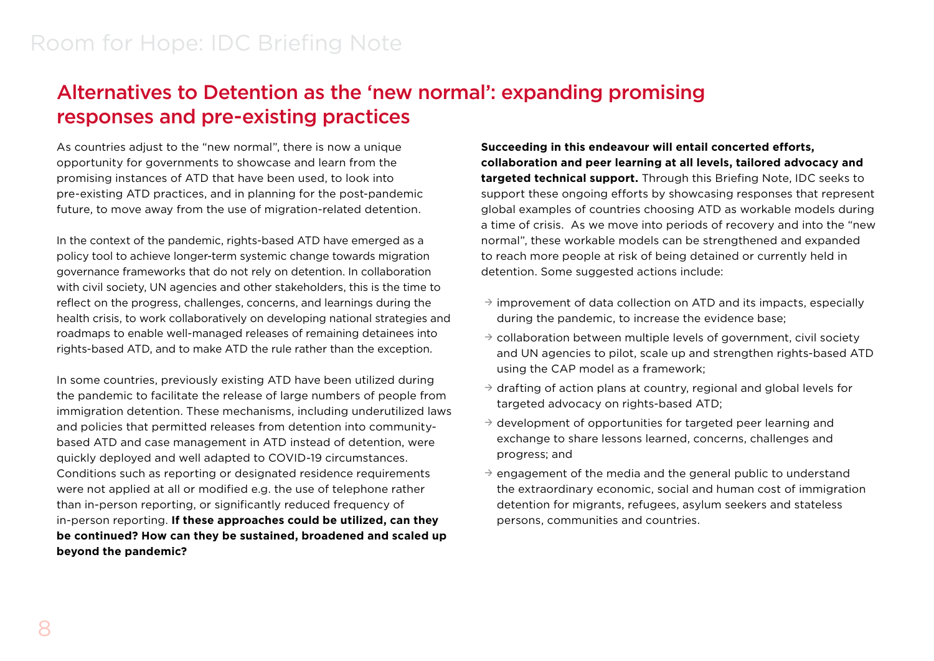# Alternatives to Detention as the 'new normal': expanding promising responses and pre-existing practices

As countries adjust to the "new normal", there is now a unique opportunity for governments to showcase and learn from the promising instances of ATD that have been used, to look into pre-existing ATD practices, and in planning for the post-pandemic future, to move away from the use of migration-related detention.

In the context of the pandemic, rights-based ATD have emerged as a policy tool to achieve longer-term systemic change towards migration governance frameworks that do not rely on detention. In collaboration with civil society, UN agencies and other stakeholders, this is the time to reflect on the progress, challenges, concerns, and learnings during the health crisis, to work collaboratively on developing national strategies and roadmaps to enable well-managed releases of remaining detainees into rights-based ATD, and to make ATD the rule rather than the exception.

In some countries, previously existing ATD have been utilized during the pandemic to facilitate the release of large numbers of people from immigration detention. These mechanisms, including underutilized laws and policies that permitted releases from detention into communitybased ATD and case management in ATD instead of detention, were quickly deployed and well adapted to COVID-19 circumstances. Conditions such as reporting or designated residence requirements were not applied at all or modified e.g. the use of telephone rather than in-person reporting, or significantly reduced frequency of in-person reporting. **If these approaches could be utilized, can they be continued? How can they be sustained, broadened and scaled up beyond the pandemic?** 

**Succeeding in this endeavour will entail concerted efforts, collaboration and peer learning at all levels, tailored advocacy and targeted technical support.** Through this Briefing Note, IDC seeks to support these ongoing efforts by showcasing responses that represent global examples of countries choosing ATD as workable models during a time of crisis. As we move into periods of recovery and into the "new normal", these workable models can be strengthened and expanded to reach more people at risk of being detained or currently held in detention. Some suggested actions include:

- $\rightarrow$  improvement of data collection on ATD and its impacts, especially during the pandemic, to increase the evidence base;
- $\rightarrow$  collaboration between multiple levels of government, civil society and UN agencies to pilot, scale up and strengthen rights-based ATD using the CAP model as a framework;
- $\rightarrow$  drafting of action plans at country, regional and global levels for targeted advocacy on rights-based ATD;
- $\rightarrow$  development of opportunities for targeted peer learning and exchange to share lessons learned, concerns, challenges and progress; and
- $\rightarrow$  engagement of the media and the general public to understand the extraordinary economic, social and human cost of immigration detention for migrants, refugees, asylum seekers and stateless persons, communities and countries.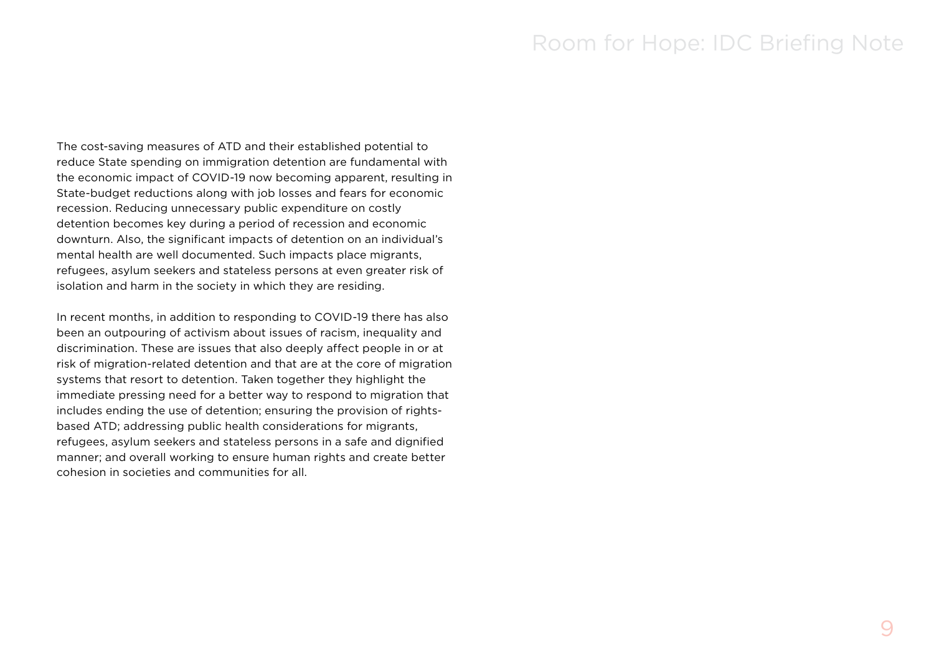The cost-saving measures of ATD and their established potential to reduce State spending on immigration detention are fundamental with the economic impact of COVID-19 now becoming apparent, resulting in State-budget reductions along with job losses and fears for economic recession. Reducing unnecessary public expenditure on costly detention becomes key during a period of recession and economic downturn. Also, the significant impacts of detention on an individual's mental health are well documented. Such impacts place migrants, refugees, asylum seekers and stateless persons at even greater risk of isolation and harm in the society in which they are residing.

In recent months, in addition to responding to COVID-19 there has also been an outpouring of activism about issues of racism, inequality and discrimination. These are issues that also deeply affect people in or at risk of migration-related detention and that are at the core of migration systems that resort to detention. Taken together they highlight the immediate pressing need for a better way to respond to migration that includes ending the use of detention; ensuring the provision of rightsbased ATD; addressing public health considerations for migrants, refugees, asylum seekers and stateless persons in a safe and dignified manner; and overall working to ensure human rights and create better cohesion in societies and communities for all.